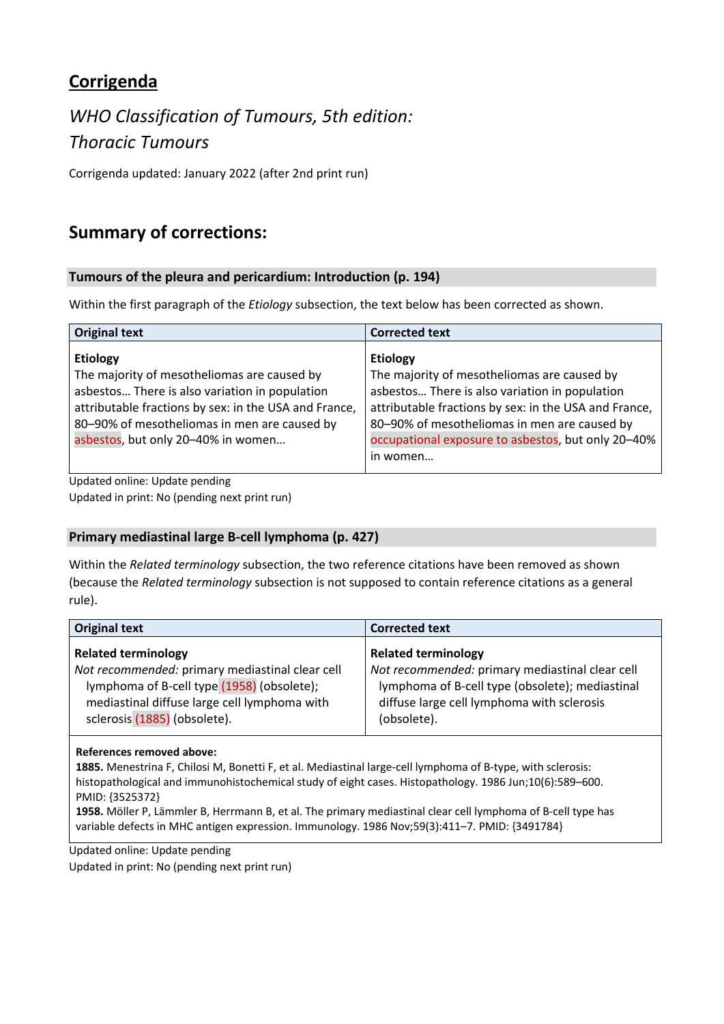## **Corrigenda**

# *WHO Classification of Tumours, 5th edition: Thoracic Tumours*

Corrigenda updated: January 2022 (after 2nd print run)

## **Summary of corrections:**

#### **Tumours of the pleura and pericardium: Introduction (p. 194)**

Within the first paragraph of the *Etiology* subsection, the text below has been corrected as shown.

| <b>Original text</b>                                                                                                                                                                                                                                            | <b>Corrected text</b>                                                                                                                                                                                                                                                                       |
|-----------------------------------------------------------------------------------------------------------------------------------------------------------------------------------------------------------------------------------------------------------------|---------------------------------------------------------------------------------------------------------------------------------------------------------------------------------------------------------------------------------------------------------------------------------------------|
| <b>Etiology</b><br>The majority of mesotheliomas are caused by<br>asbestos There is also variation in population<br>attributable fractions by sex: in the USA and France,<br>80-90% of mesotheliomas in men are caused by<br>asbestos, but only 20-40% in women | <b>Etiology</b><br>The majority of mesotheliomas are caused by<br>asbestos There is also variation in population<br>attributable fractions by sex: in the USA and France,<br>80-90% of mesotheliomas in men are caused by<br>occupational exposure to asbestos, but only 20-40%<br>in women |

Updated online: Update pending Updated in print: No (pending next print run)

## **Primary mediastinal large B‐cell lymphoma (p. 427)**

Within the *Related terminology* subsection, the two reference citations have been removed as shown (because the *Related terminology* subsection is not supposed to contain reference citations as a general rule).

| <b>Original text</b>                            | <b>Corrected text</b>                           |
|-------------------------------------------------|-------------------------------------------------|
| <b>Related terminology</b>                      | <b>Related terminology</b>                      |
| Not recommended: primary mediastinal clear cell | Not recommended: primary mediastinal clear cell |
| lymphoma of B-cell type (1958) (obsolete);      | lymphoma of B-cell type (obsolete); mediastinal |
| mediastinal diffuse large cell lymphoma with    | diffuse large cell lymphoma with sclerosis      |
| sclerosis (1885) (obsolete).                    | (obsolete).                                     |

#### **References removed above:**

1885. Menestrina F, Chilosi M, Bonetti F, et al. Mediastinal large-cell lymphoma of B-type, with sclerosis: histopathological and immunohistochemical study of eight cases. Histopathology. 1986 Jun;10(6):589–600. PMID: {3525372}

**1958.** Möller P, Lämmler B, Herrmann B, et al. The primary mediastinal clear cell lymphoma of B‐cell type has variable defects in MHC antigen expression. Immunology. 1986 Nov;59(3):411–7. PMID: {3491784}

Updated online: Update pending

Updated in print: No (pending next print run)